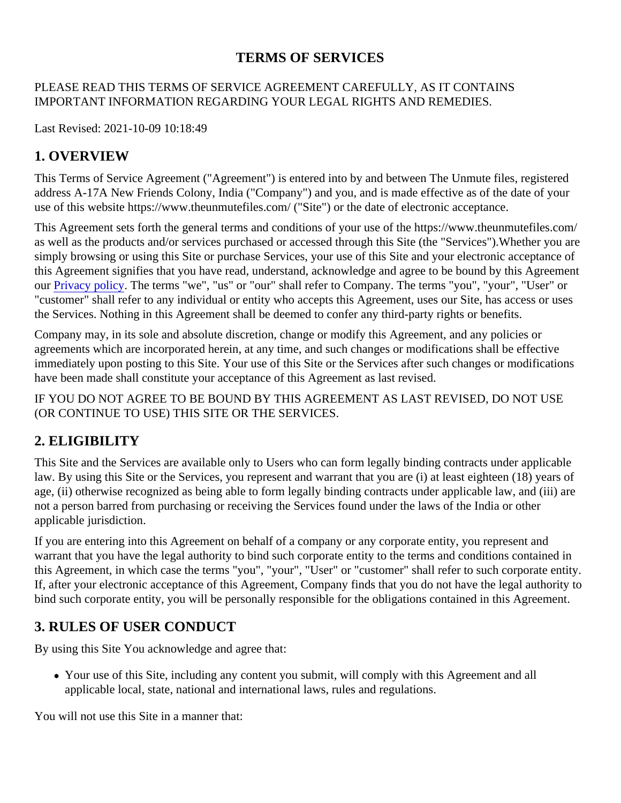### TERMS OF SERVICES

#### PLEASE READ THIS TERMS OF SERVICE AGREEMENT CAREFULLY, AS IT CONTAINS IMPORTANT INFORMATION REGARDING YOUR LEGAL RIGHTS AND REMEDIES.

Last Revised: 2021-10-09 10:18:49

#### 1. OVERVIEW

This Terms of Service Agreement ("Agreement") is entered into by and between The Unmute files, registered address A-17A New Friends Colony, India ("Company") and you, and is made effective as of the date of your use of this website https://www.theunmutefiles.com/ ("Site") or the date of electronic acceptance.

This Agreement sets forth the general terms and conditions of your use of the https://www.theunmutefiles.com/ as well as the products and/or services purchased or accessed through this Site (the "Services"). Whether you simply browsing or using this Site or purchase Services, your use of this Site and your electronic acceptance this Agreement signifies that you have read, understand, acknowledge and agree to be bound by this Agreem our [Privacy policy.](https://portal.termshub.io/theunmutefiles.com/#privacy_policy) The terms "we", "us" or "our" shall refer to Company. The terms "you", "your", "User" or "customer" shall refer to any individual or entity who accepts this Agreement, uses our Site, has access or us the Services. Nothing in this Agreement shall be deemed to confer any third-party rights or benefits.

Company may, in its sole and absolute discretion, change or modify this Agreement, and any policies or agreements which are incorporated herein, at any time, and such changes or modifications shall be effective immediately upon posting to this Site. Your use of this Site or the Services after such changes or modification have been made shall constitute your acceptance of this Agreement as last revised.

IF YOU DO NOT AGREE TO BE BOUND BY THIS AGREEMENT AS LAST REVISED, DO NOT USE (OR CONTINUE TO USE) THIS SITE OR THE SERVICES.

#### 2. ELIGIBILITY

This Site and the Services are available only to Users who can form legally binding contracts under applicable law. By using this Site or the Services, you represent and warrant that you are (i) at least eighteen (18) years age, (ii) otherwise recognized as being able to form legally binding contracts under applicable law, and (iii) are not a person barred from purchasing or receiving the Services found under the laws of the India or other applicable jurisdiction.

If you are entering into this Agreement on behalf of a company or any corporate entity, you represent and warrant that you have the legal authority to bind such corporate entity to the terms and conditions contained i this Agreement, in which case the terms "you", "your", "User" or "customer" shall refer to such corporate entit If, after your electronic acceptance of this Agreement, Company finds that you do not have the legal authority bind such corporate entity, you will be personally responsible for the obligations contained in this Agreement.

#### 3. RULES OF USER CONDUCT

By using this Site You acknowledge and agree that:

Your use of this Site, including any content you submit, will comply with this Agreement and all applicable local, state, national and international laws, rules and regulations.

You will not use this Site in a manner that: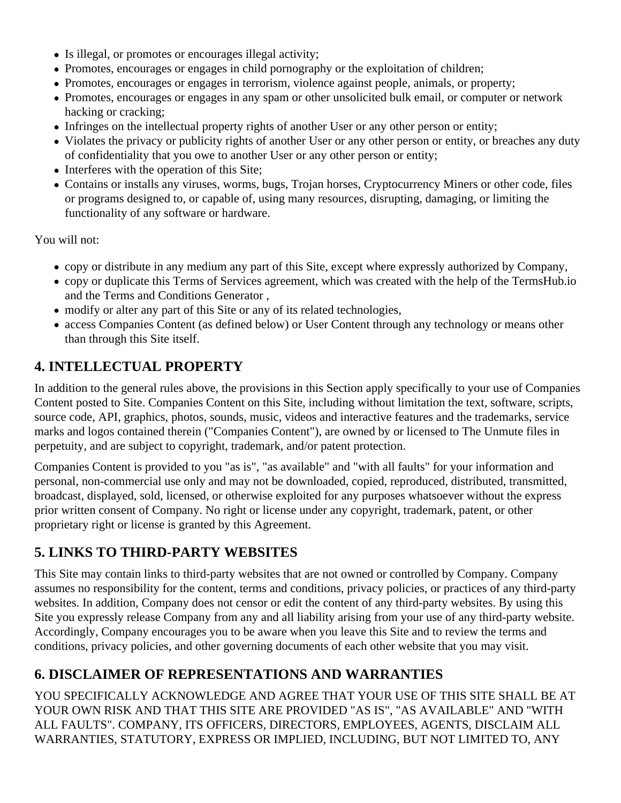- Is illegal, or promotes or encourages illegal activity;
- Promotes, encourages or engages in child pornography or the exploitation of children;
- Promotes, encourages or engages in terrorism, violence against people, animals, or property;
- Promotes, encourages or engages in any spam or other unsolicited bulk email, or computer or network hacking or cracking;
- Infringes on the intellectual property rights of another User or any other person or entity;
- Violates the privacy or publicity rights of another User or any other person or entity, or breaches any dut of confidentiality that you owe to another User or any other person or entity;
- Interferes with the operation of this Site;
- Contains or installs any viruses, worms, bugs, Trojan horses, Cryptocurrency Miners or other code, files or programs designed to, or capable of, using many resources, disrupting, damaging, or limiting the functionality of any software or hardware.

You will not:

- copy or distribute in any medium any part of this Site, except where expressly authorized by Company,
- copy or duplicate this Terms of Services agreement, which was created with the helperential up.io and th[e Terms and Conditions Genera](https://termshub.io/terms-of-service?utm_source=referral&utm_medium=generated_documents&utm_campaign=referral_documents&utm_content=tos_th_text)tor
- modify or alter any part of this Site or any of its related technologies,
- access Companies Content (as defined below) or User Content through any technology or means other than through this Site itself.

### 4. INTELLECTUAL PROPERTY

In addition to the general rules above, the provisions in this Section apply specifically to your use of Compani Content posted to Site. Companies Content on this Site, including without limitation the text, software, scripts, source code, API, graphics, photos, sounds, music, videos and interactive features and the trademarks, servi marks and logos contained therein ("Companies Content"), are owned by or licensed to The Unmute files in perpetuity, and are subject to copyright, trademark, and/or patent protection.

Companies Content is provided to you "as is", "as available" and "with all faults" for your information and personal, non-commercial use only and may not be downloaded, copied, reproduced, distributed, transmitted, broadcast, displayed, sold, licensed, or otherwise exploited for any purposes whatsoever without the express prior written consent of Company. No right or license under any copyright, trademark, patent, or other proprietary right or license is granted by this Agreement.

#### 5. LINKS TO THIRD-PARTY WEBSITES

This Site may contain links to third-party websites that are not owned or controlled by Company. Company assumes no responsibility for the content, terms and conditions, privacy policies, or practices of any third-part websites. In addition, Company does not censor or edit the content of any third-party websites. By using this Site you expressly release Company from any and all liability arising from your use of any third-party website. Accordingly, Company encourages you to be aware when you leave this Site and to review the terms and conditions, privacy policies, and other governing documents of each other website that you may visit.

## 6. DISCLAIMER OF REPRESENTATIONS AND WARRANTIES

YOU SPECIFICALLY ACKNOWLEDGE AND AGREE THAT YOUR USE OF THIS SITE SHALL BE AT YOUR OWN RISK AND THAT THIS SITE ARE PROVIDED "AS IS", "AS AVAILABLE" AND "WITH ALL FAULTS". COMPANY, ITS OFFICERS, DIRECTORS, EMPLOYEES, AGENTS, DISCLAIM ALL WARRANTIES, STATUTORY, EXPRESS OR IMPLIED, INCLUDING, BUT NOT LIMITED TO, ANY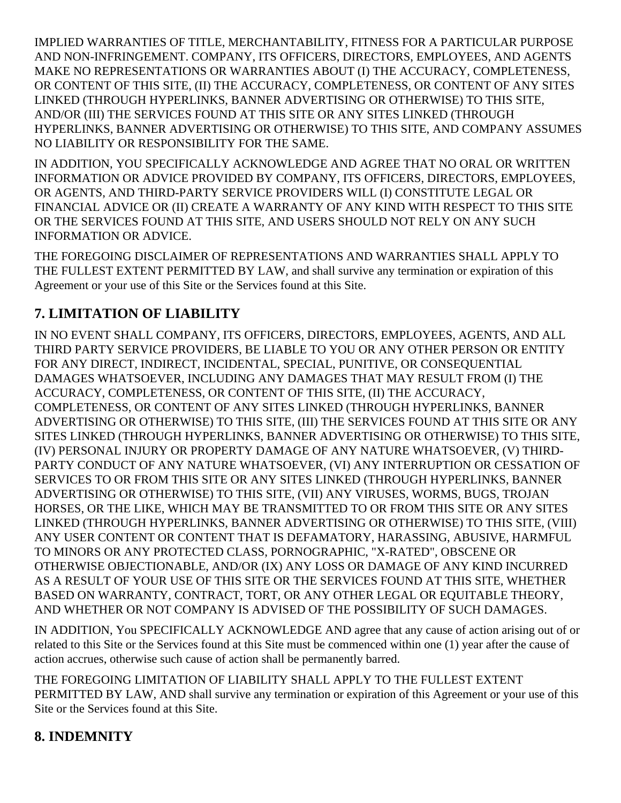IMPLIED WARRANTIES OF TITLE, MERCHANTABILITY, FITNESS FOR A PARTICULAR PURPOSE AND NON-INFRINGEMENT. COMPANY, ITS OFFICERS, DIRECTORS, EMPLOYEES, AND AGENTS MAKE NO REPRESENTATIONS OR WARRANTIES ABOUT (I) THE ACCURACY, COMPLETENESS, OR CONTENT OF THIS SITE, (II) THE ACCURACY, COMPLETENESS, OR CONTENT OF ANY SITES LINKED (THROUGH HYPERLINKS, BANNER ADVERTISING OR OTHERWISE) TO THIS SITE, AND/OR (III) THE SERVICES FOUND AT THIS SITE OR ANY SITES LINKED (THROUGH HYPERLINKS, BANNER ADVERTISING OR OTHERWISE) TO THIS SITE, AND COMPANY ASSUMES NO LIABILITY OR RESPONSIBILITY FOR THE SAME.

IN ADDITION, YOU SPECIFICALLY ACKNOWLEDGE AND AGREE THAT NO ORAL OR WRITTEN INFORMATION OR ADVICE PROVIDED BY COMPANY, ITS OFFICERS, DIRECTORS, EMPLOYEES, OR AGENTS, AND THIRD-PARTY SERVICE PROVIDERS WILL (I) CONSTITUTE LEGAL OR FINANCIAL ADVICE OR (II) CREATE A WARRANTY OF ANY KIND WITH RESPECT TO THIS SITE OR THE SERVICES FOUND AT THIS SITE, AND USERS SHOULD NOT RELY ON ANY SUCH INFORMATION OR ADVICE.

THE FOREGOING DISCLAIMER OF REPRESENTATIONS AND WARRANTIES SHALL APPLY TO THE FULLEST EXTENT PERMITTED BY LAW, and shall survive any termination or expiration of this Agreement or your use of this Site or the Services found at this Site.

# **7. LIMITATION OF LIABILITY**

IN NO EVENT SHALL COMPANY, ITS OFFICERS, DIRECTORS, EMPLOYEES, AGENTS, AND ALL THIRD PARTY SERVICE PROVIDERS, BE LIABLE TO YOU OR ANY OTHER PERSON OR ENTITY FOR ANY DIRECT, INDIRECT, INCIDENTAL, SPECIAL, PUNITIVE, OR CONSEQUENTIAL DAMAGES WHATSOEVER, INCLUDING ANY DAMAGES THAT MAY RESULT FROM (I) THE ACCURACY, COMPLETENESS, OR CONTENT OF THIS SITE, (II) THE ACCURACY, COMPLETENESS, OR CONTENT OF ANY SITES LINKED (THROUGH HYPERLINKS, BANNER ADVERTISING OR OTHERWISE) TO THIS SITE, (III) THE SERVICES FOUND AT THIS SITE OR ANY SITES LINKED (THROUGH HYPERLINKS, BANNER ADVERTISING OR OTHERWISE) TO THIS SITE, (IV) PERSONAL INJURY OR PROPERTY DAMAGE OF ANY NATURE WHATSOEVER, (V) THIRD-PARTY CONDUCT OF ANY NATURE WHATSOEVER, (VI) ANY INTERRUPTION OR CESSATION OF SERVICES TO OR FROM THIS SITE OR ANY SITES LINKED (THROUGH HYPERLINKS, BANNER ADVERTISING OR OTHERWISE) TO THIS SITE, (VII) ANY VIRUSES, WORMS, BUGS, TROJAN HORSES, OR THE LIKE, WHICH MAY BE TRANSMITTED TO OR FROM THIS SITE OR ANY SITES LINKED (THROUGH HYPERLINKS, BANNER ADVERTISING OR OTHERWISE) TO THIS SITE, (VIII) ANY USER CONTENT OR CONTENT THAT IS DEFAMATORY, HARASSING, ABUSIVE, HARMFUL TO MINORS OR ANY PROTECTED CLASS, PORNOGRAPHIC, "X-RATED", OBSCENE OR OTHERWISE OBJECTIONABLE, AND/OR (IX) ANY LOSS OR DAMAGE OF ANY KIND INCURRED AS A RESULT OF YOUR USE OF THIS SITE OR THE SERVICES FOUND AT THIS SITE, WHETHER BASED ON WARRANTY, CONTRACT, TORT, OR ANY OTHER LEGAL OR EQUITABLE THEORY, AND WHETHER OR NOT COMPANY IS ADVISED OF THE POSSIBILITY OF SUCH DAMAGES.

IN ADDITION, You SPECIFICALLY ACKNOWLEDGE AND agree that any cause of action arising out of or related to this Site or the Services found at this Site must be commenced within one (1) year after the cause of action accrues, otherwise such cause of action shall be permanently barred.

THE FOREGOING LIMITATION OF LIABILITY SHALL APPLY TO THE FULLEST EXTENT PERMITTED BY LAW, AND shall survive any termination or expiration of this Agreement or your use of this Site or the Services found at this Site.

## **8. INDEMNITY**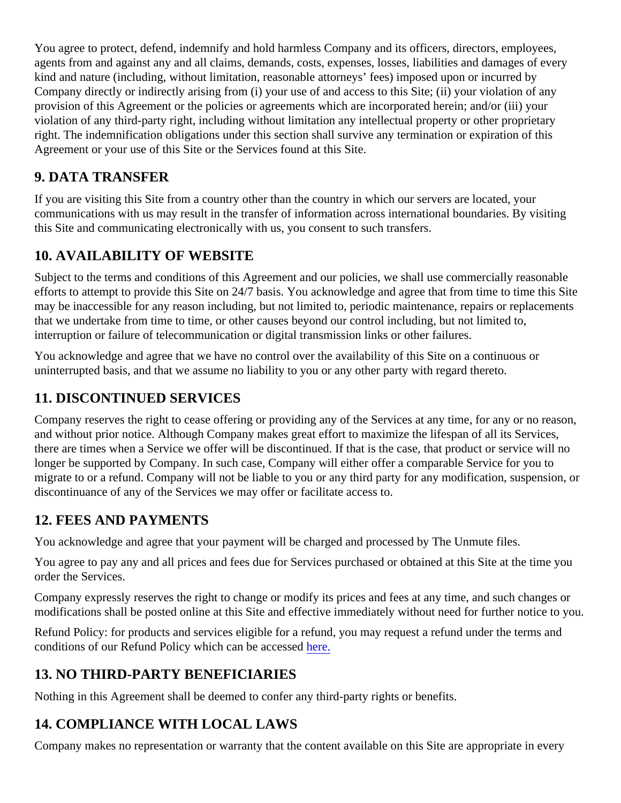You agree to protect, defend, indemnify and hold harmless Company and its officers, directors, employees, agents from and against any and all claims, demands, costs, expenses, losses, liabilities and damages of ever kind and nature (including, without limitation, reasonable attorneys' fees) imposed upon or incurred by Company directly or indirectly arising from (i) your use of and access to this Site; (ii) your violation of any provision of this Agreement or the policies or agreements which are incorporated herein; and/or (iii) your violation of any third-party right, including without limitation any intellectual property or other proprietary right. The indemnification obligations under this section shall survive any termination or expiration of this Agreement or your use of this Site or the Services found at this Site.

## 9. DATA TRANSFER

If you are visiting this Site from a country other than the country in which our servers are located, your communications with us may result in the transfer of information across international boundaries. By visiting this Site and communicating electronically with us, you consent to such transfers.

### 10. AVAILABILITY OF WEBSITE

Subject to the terms and conditions of this Agreement and our policies, we shall use commercially reasonable efforts to attempt to provide this Site on 24/7 basis. You acknowledge and agree that from time to time this Si may be inaccessible for any reason including, but not limited to, periodic maintenance, repairs or replacement that we undertake from time to time, or other causes beyond our control including, but not limited to, interruption or failure of telecommunication or digital transmission links or other failures.

You acknowledge and agree that we have no control over the availability of this Site on a continuous or uninterrupted basis, and that we assume no liability to you or any other party with regard thereto.

### 11. DISCONTINUED SERVICES

Company reserves the right to cease offering or providing any of the Services at any time, for any or no reaso and without prior notice. Although Company makes great effort to maximize the lifespan of all its Services, there are times when a Service we offer will be discontinued. If that is the case, that product or service will no longer be supported by Company. In such case, Company will either offer a comparable Service for you to migrate to or a refund. Company will not be liable to you or any third party for any modification, suspension, o discontinuance of any of the Services we may offer or facilitate access to.

#### 12. FEES AND PAYMENTS

You acknowledge and agree that your payment will be charged and processed by The Unmute files.

You agree to pay any and all prices and fees due for Services purchased or obtained at this Site at the time y order the Services.

Company expressly reserves the right to change or modify its prices and fees at any time, and such changes modifications shall be posted online at this Site and effective immediately without need for further notice to yo

Refund Policy: for products and services eligible for a refund, you may request a refund under the terms and conditions of our Refund Policy which can be acce[ssed](https://portal.termshub.io/theunmutefiles.com/refund_policy/).

#### 13. NO THIRD-PARTY BENEFICIARIES

Nothing in this Agreement shall be deemed to confer any third-party rights or benefits.

#### 14. COMPLIANCE WITH LOCAL LAWS

Company makes no representation or warranty that the content available on this Site are appropriate in every